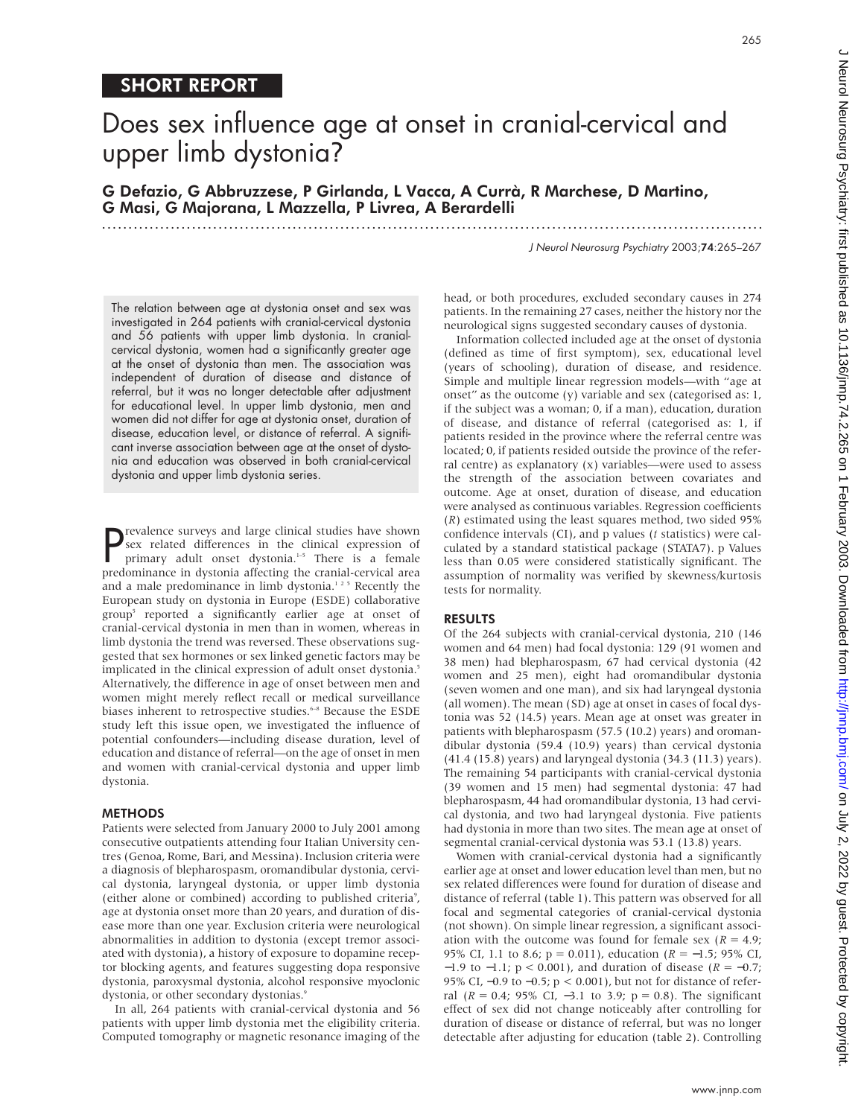### SHORT REPORT

# Does sex influence age at onset in cranial-cervical and upper limb dystonia?

G Defazio, G Abbruzzese, P Girlanda, L Vacca, A Currà, R Marchese, D Martino, G Masi, G Majorana, L Mazzella, P Livrea, A Berardelli

.............................................................................................................................

J Neurol Neurosurg Psychiatry 2003;74:265–267

The relation between age at dystonia onset and sex was investigated in 264 patients with cranial-cervical dystonia and 56 patients with upper limb dystonia. In cranialcervical dystonia, women had a significantly greater age at the onset of dystonia than men. The association was independent of duration of disease and distance of referral, but it was no longer detectable after adjustment for educational level. In upper limb dystonia, men and women did not differ for age at dystonia onset, duration of disease, education level, or distance of referral. A significant inverse association between age at the onset of dystonia and education was observed in both cranial-cervical dystonia and upper limb dystonia series.

**P** revalence surveys and large clinical studies have shown<br>sex related differences in the clinical expression of<br>primary adult onset dystonia.<sup>1-5</sup> There is a female<br>predominance in dystonia affecting the cranial-cervical revalence surveys and large clinical studies have shown sex related differences in the clinical expression of primary adult onset dystonia.<sup>1-5</sup> There is a female and a male predominance in limb dystonia.<sup>125</sup> Recently the European study on dystonia in Europe (ESDE) collaborative group5 reported a significantly earlier age at onset of cranial-cervical dystonia in men than in women, whereas in limb dystonia the trend was reversed. These observations suggested that sex hormones or sex linked genetic factors may be implicated in the clinical expression of adult onset dystonia.<sup>5</sup> Alternatively, the difference in age of onset between men and women might merely reflect recall or medical surveillance biases inherent to retrospective studies.<sup>6-8</sup> Because the ESDE study left this issue open, we investigated the influence of potential confounders—including disease duration, level of education and distance of referral—on the age of onset in men and women with cranial-cervical dystonia and upper limb dystonia.

#### METHODS

Patients were selected from January 2000 to July 2001 among consecutive outpatients attending four Italian University centres (Genoa, Rome, Bari, and Messina). Inclusion criteria were a diagnosis of blepharospasm, oromandibular dystonia, cervical dystonia, laryngeal dystonia, or upper limb dystonia (either alone or combined) according to published criteria<sup>9</sup>, age at dystonia onset more than 20 years, and duration of disease more than one year. Exclusion criteria were neurological abnormalities in addition to dystonia (except tremor associated with dystonia), a history of exposure to dopamine receptor blocking agents, and features suggesting dopa responsive dystonia, paroxysmal dystonia, alcohol responsive myoclonic dystonia, or other secondary dystonias.<sup>9</sup>

In all, 264 patients with cranial-cervical dystonia and 56 patients with upper limb dystonia met the eligibility criteria. Computed tomography or magnetic resonance imaging of the head, or both procedures, excluded secondary causes in 274 patients. In the remaining 27 cases, neither the history nor the neurological signs suggested secondary causes of dystonia.

Information collected included age at the onset of dystonia (defined as time of first symptom), sex, educational level (years of schooling), duration of disease, and residence. Simple and multiple linear regression models—with "age at onset" as the outcome (y) variable and sex (categorised as: 1, if the subject was a woman; 0, if a man), education, duration of disease, and distance of referral (categorised as: 1, if patients resided in the province where the referral centre was located; 0, if patients resided outside the province of the referral centre) as explanatory (x) variables—were used to assess the strength of the association between covariates and outcome. Age at onset, duration of disease, and education were analysed as continuous variables. Regression coefficients (*R*) estimated using the least squares method, two sided 95% confidence intervals (CI), and p values (*t* statistics) were calculated by a standard statistical package (STATA7). p Values less than 0.05 were considered statistically significant. The assumption of normality was verified by skewness/kurtosis tests for normality.

#### RESULTS

Of the 264 subjects with cranial-cervical dystonia, 210 (146 women and 64 men) had focal dystonia: 129 (91 women and 38 men) had blepharospasm, 67 had cervical dystonia (42 women and 25 men), eight had oromandibular dystonia (seven women and one man), and six had laryngeal dystonia (all women). The mean (SD) age at onset in cases of focal dystonia was 52 (14.5) years. Mean age at onset was greater in patients with blepharospasm (57.5 (10.2) years) and oromandibular dystonia (59.4 (10.9) years) than cervical dystonia (41.4 (15.8) years) and laryngeal dystonia (34.3 (11.3) years). The remaining 54 participants with cranial-cervical dystonia (39 women and 15 men) had segmental dystonia: 47 had blepharospasm, 44 had oromandibular dystonia, 13 had cervical dystonia, and two had laryngeal dystonia. Five patients had dystonia in more than two sites. The mean age at onset of segmental cranial-cervical dystonia was 53.1 (13.8) years.

Women with cranial-cervical dystonia had a significantly earlier age at onset and lower education level than men, but no sex related differences were found for duration of disease and distance of referral (table 1). This pattern was observed for all focal and segmental categories of cranial-cervical dystonia (not shown). On simple linear regression, a significant association with the outcome was found for female sex  $(R = 4.9)$ ; 95% CI, 1.1 to 8.6; p = 0.011), education (*R* = −1.5; 95% CI, −1.9 to −1.1; p < 0.001), and duration of disease (*R* = −0.7; 95% CI, –0.9 to –0.5; p < 0.001), but not for distance of referral (*R* = 0.4; 95% CI, −3.1 to 3.9; p = 0.8). The significant effect of sex did not change noticeably after controlling for duration of disease or distance of referral, but was no longer detectable after adjusting for education (table 2). Controlling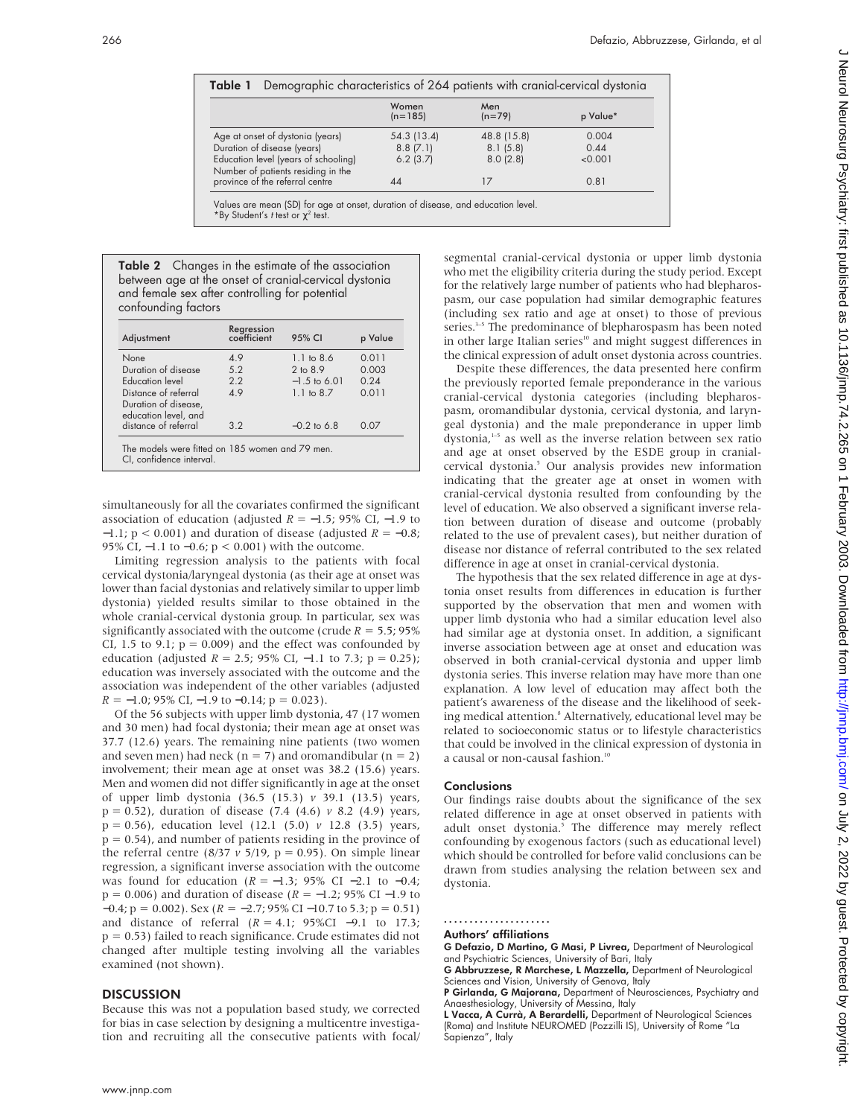|                                                                            | Women<br>$(n=185)$ | Men<br>$(n=79)$ | p Value* |
|----------------------------------------------------------------------------|--------------------|-----------------|----------|
|                                                                            |                    |                 |          |
| Age at onset of dystonia (years)                                           | 54.3 (13.4)        | 48.8 (15.8)     | 0.004    |
| Duration of disease (years)                                                | 8.8(7.1)           | 8.1(5.8)        | 0.44     |
| Education level (years of schooling)<br>Number of patients residing in the | $6.2$ (3.7)        | 8.0(2.8)        | < 0.001  |
| province of the referral centre                                            |                    | 17              | 0.81     |

Values are mean (SD) for age at onset, duration of disease, and education level. \*By Student's t test or  $\chi^2$  test.

Table 2 Changes in the estimate of the association between age at the onset of cranial-cervical dystonia and female sex after controlling for potential confounding factors

| Adjustment                                                                  | Regression<br>coefficient | 95% CI         | p Value |  |
|-----------------------------------------------------------------------------|---------------------------|----------------|---------|--|
| None                                                                        | 49                        | 11 to 86       | 0.011   |  |
| Duration of disease                                                         | 52                        | 2 to 89        | 0.003   |  |
| Education level                                                             | 2.2                       | $-1.5$ to 6.01 | 0.24    |  |
| Distance of referral<br>Duration of disease,                                | 49                        | $1.1$ to $8.7$ | 0.011   |  |
| education level, and<br>distance of referral                                | 32                        | $-0.2$ to 6.8  | 0.07    |  |
| The models were fitted on 185 women and 79 men.<br>CI, confidence interval. |                           |                |         |  |

simultaneously for all the covariates confirmed the significant association of education (adjusted *R* = −1.5; 95% CI, −1.9 to −1.1; p < 0.001) and duration of disease (adjusted *R* = −0.8; 95% CI, -1.1 to -0.6; p < 0.001) with the outcome.

Limiting regression analysis to the patients with focal cervical dystonia/laryngeal dystonia (as their age at onset was lower than facial dystonias and relatively similar to upper limb dystonia) yielded results similar to those obtained in the whole cranial-cervical dystonia group. In particular, sex was significantly associated with the outcome (crude  $R = 5.5$ ; 95% CI, 1.5 to 9.1;  $p = 0.009$ ) and the effect was confounded by education (adjusted *R* = 2.5; 95% CI, −1.1 to 7.3; p = 0.25); education was inversely associated with the outcome and the association was independent of the other variables (adjusted  $R = -1.0$ ; 95% CI,  $-1.9$  to  $-0.14$ ;  $p = 0.023$ ).

Of the 56 subjects with upper limb dystonia, 47 (17 women and 30 men) had focal dystonia; their mean age at onset was 37.7 (12.6) years. The remaining nine patients (two women and seven men) had neck ( $n = 7$ ) and oromandibular ( $n = 2$ ) involvement; their mean age at onset was 38.2 (15.6) years. Men and women did not differ significantly in age at the onset of upper limb dystonia (36.5 (15.3) *v* 39.1 (13.5) years, p = 0.52), duration of disease (7.4 (4.6) *v* 8.2 (4.9) years, p = 0.56), education level (12.1 (5.0) *v* 12.8 (3.5) years,  $p = 0.54$ ), and number of patients residing in the province of the referral centre  $(8/37 \nu 5/19, p = 0.95)$ . On simple linear regression, a significant inverse association with the outcome was found for education (*R* = −1.3; 95% CI −2.1 to −0.4; p = 0.006) and duration of disease (*R* = −1.2; 95% CI −1.9 to −0.4; p = 0.002). Sex (*R* = −2.7; 95% CI −10.7 to 5.3; p = 0.51) and distance of referral (*R* = 4.1; 95%CI −9.1 to 17.3;  $p = 0.53$ ) failed to reach significance. Crude estimates did not changed after multiple testing involving all the variables examined (not shown).

#### **DISCUSSION**

Because this was not a population based study, we corrected for bias in case selection by designing a multicentre investigation and recruiting all the consecutive patients with focal/

segmental cranial-cervical dystonia or upper limb dystonia who met the eligibility criteria during the study period. Except for the relatively large number of patients who had blepharospasm, our case population had similar demographic features (including sex ratio and age at onset) to those of previous series.<sup>3-5</sup> The predominance of blepharospasm has been noted in other large Italian series<sup>10</sup> and might suggest differences in the clinical expression of adult onset dystonia across countries.

Despite these differences, the data presented here confirm the previously reported female preponderance in the various cranial-cervical dystonia categories (including blepharospasm, oromandibular dystonia, cervical dystonia, and laryngeal dystonia) and the male preponderance in upper limb dystonia,<sup>1-5</sup> as well as the inverse relation between sex ratio and age at onset observed by the ESDE group in cranialcervical dystonia.5 Our analysis provides new information indicating that the greater age at onset in women with cranial-cervical dystonia resulted from confounding by the level of education. We also observed a significant inverse relation between duration of disease and outcome (probably related to the use of prevalent cases), but neither duration of disease nor distance of referral contributed to the sex related difference in age at onset in cranial-cervical dystonia.

The hypothesis that the sex related difference in age at dystonia onset results from differences in education is further supported by the observation that men and women with upper limb dystonia who had a similar education level also had similar age at dystonia onset. In addition, a significant inverse association between age at onset and education was observed in both cranial-cervical dystonia and upper limb dystonia series. This inverse relation may have more than one explanation. A low level of education may affect both the patient's awareness of the disease and the likelihood of seeking medical attention.<sup>8</sup> Alternatively, educational level may be related to socioeconomic status or to lifestyle characteristics that could be involved in the clinical expression of dystonia in a causal or non-causal fashion.<sup>10</sup>

#### **Conclusions**

Our findings raise doubts about the significance of the sex related difference in age at onset observed in patients with adult onset dystonia.<sup>5</sup> The difference may merely reflect confounding by exogenous factors (such as educational level) which should be controlled for before valid conclusions can be drawn from studies analysing the relation between sex and dystonia.

.....................

Authors' affiliations

G Defazio, D Martino, G Masi, P Livrea, Department of Neurological and Psychiatric Sciences, University of Bari, Italy

G Abbruzzese, R Marchese, L Mazzella, Department of Neurological Sciences and Vision, University of Genova, Italy

P Girlanda, G Majorana, Department of Neurosciences, Psychiatry and Anaesthesiology, University of Messina, Italy

L Vacca, A Currà, A Berardelli, Department of Neurological Sciences (Roma) and Institute NEUROMED (Pozzilli IS), University of Rome "La Sapienza", Italy